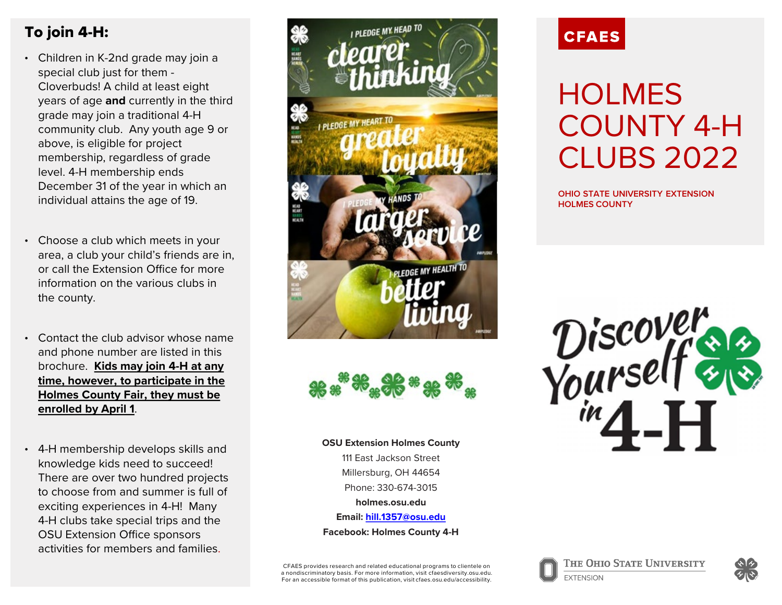## To join 4-H:

- Children in K-2nd grade may join a special club just for them - Cloverbuds! A child at least eight years of age **and** currently in the third grade may join a traditional 4-H community club. Any youth age 9 or above, is eligible for project membership, regardless of grade level. 4-H membership ends December 31 of the year in which an individual attains the age of 19.
- Choose a club which meets in your area, a club your child's friends are in, or call the Extension Office for more information on the various clubs in the county.
- Contact the club advisor whose name and phone number are listed in this brochure. **Kids may join 4-H at any time, however, to participate in the Holmes County Fair, they must be enrolled by April 1**.
- 4-H membership develops skills and knowledge kids need to succeed! There are over two hundred projects to choose from and summer is full of exciting experiences in 4-H! Many 4-H clubs take special trips and the OSU Extension Office sponsors activities for members and families.





**OSU Extension Holmes County** 111 East Jackson Street Millersburg, OH 44654 Phone: 330-674-3015 **holmes.osu.edu Email: [hill.1357@osu.edu](mailto:hill.1357@osu.edu) Facebook: Holmes County 4-H**

CFAES provides research and related educational programs to clientele on a nondiscriminatory basis. For more information, visit cfaesdiversity.osu.edu. For an accessible format of this publication, visit cfaes.osu.edu/accessibility.



# **HOLMES** COUNTY 4-H CLUBS 2022

**OHIO STATE UNIVERSITY EXTENSION HOLMES COUNTY**



THE OHIO STATE UNIVERSITY

**EXTENSION**